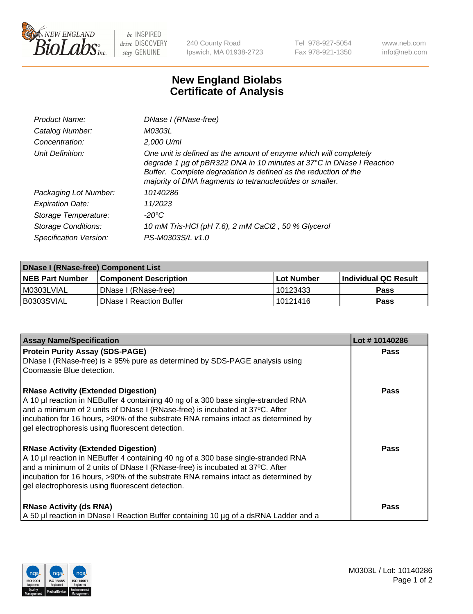

 $be$  INSPIRED drive DISCOVERY stay GENUINE

240 County Road Ipswich, MA 01938-2723 Tel 978-927-5054 Fax 978-921-1350 www.neb.com info@neb.com

## **New England Biolabs Certificate of Analysis**

| Product Name:           | DNase I (RNase-free)                                                                                                                                                                                                                                                      |
|-------------------------|---------------------------------------------------------------------------------------------------------------------------------------------------------------------------------------------------------------------------------------------------------------------------|
| Catalog Number:         | M0303L                                                                                                                                                                                                                                                                    |
| Concentration:          | 2,000 U/ml                                                                                                                                                                                                                                                                |
| Unit Definition:        | One unit is defined as the amount of enzyme which will completely<br>degrade 1 µg of pBR322 DNA in 10 minutes at 37°C in DNase I Reaction<br>Buffer. Complete degradation is defined as the reduction of the<br>majority of DNA fragments to tetranucleotides or smaller. |
| Packaging Lot Number:   | 10140286                                                                                                                                                                                                                                                                  |
| <b>Expiration Date:</b> | 11/2023                                                                                                                                                                                                                                                                   |
| Storage Temperature:    | $-20^{\circ}$ C                                                                                                                                                                                                                                                           |
| Storage Conditions:     | 10 mM Tris-HCl (pH 7.6), 2 mM CaCl2, 50 % Glycerol                                                                                                                                                                                                                        |
| Specification Version:  | PS-M0303S/L v1.0                                                                                                                                                                                                                                                          |

| DNase I (RNase-free) Component List |                                |              |                             |  |  |
|-------------------------------------|--------------------------------|--------------|-----------------------------|--|--|
| <b>NEB Part Number</b>              | <b>Component Description</b>   | l Lot Number | <b>Individual QC Result</b> |  |  |
| I M0303LVIAL                        | DNase I (RNase-free)           | 10123433     | <b>Pass</b>                 |  |  |
| B0303SVIAL                          | <b>DNase I Reaction Buffer</b> | 10121416     | <b>Pass</b>                 |  |  |

| <b>Assay Name/Specification</b>                                                                                                                                                                                                                                                                                                                           | Lot #10140286 |
|-----------------------------------------------------------------------------------------------------------------------------------------------------------------------------------------------------------------------------------------------------------------------------------------------------------------------------------------------------------|---------------|
| <b>Protein Purity Assay (SDS-PAGE)</b>                                                                                                                                                                                                                                                                                                                    | <b>Pass</b>   |
| DNase I (RNase-free) is $\geq 95\%$ pure as determined by SDS-PAGE analysis using<br>Coomassie Blue detection.                                                                                                                                                                                                                                            |               |
| <b>RNase Activity (Extended Digestion)</b><br>A 10 µl reaction in NEBuffer 4 containing 40 ng of a 300 base single-stranded RNA<br>and a minimum of 2 units of DNase I (RNase-free) is incubated at 37°C. After<br>incubation for 16 hours, >90% of the substrate RNA remains intact as determined by<br>gel electrophoresis using fluorescent detection. | <b>Pass</b>   |
| <b>RNase Activity (Extended Digestion)</b><br>A 10 µl reaction in NEBuffer 4 containing 40 ng of a 300 base single-stranded RNA<br>and a minimum of 2 units of DNase I (RNase-free) is incubated at 37°C. After<br>incubation for 16 hours, >90% of the substrate RNA remains intact as determined by<br>gel electrophoresis using fluorescent detection. | <b>Pass</b>   |
| <b>RNase Activity (ds RNA)</b><br>A 50 µl reaction in DNase I Reaction Buffer containing 10 µg of a dsRNA Ladder and a                                                                                                                                                                                                                                    | Pass          |